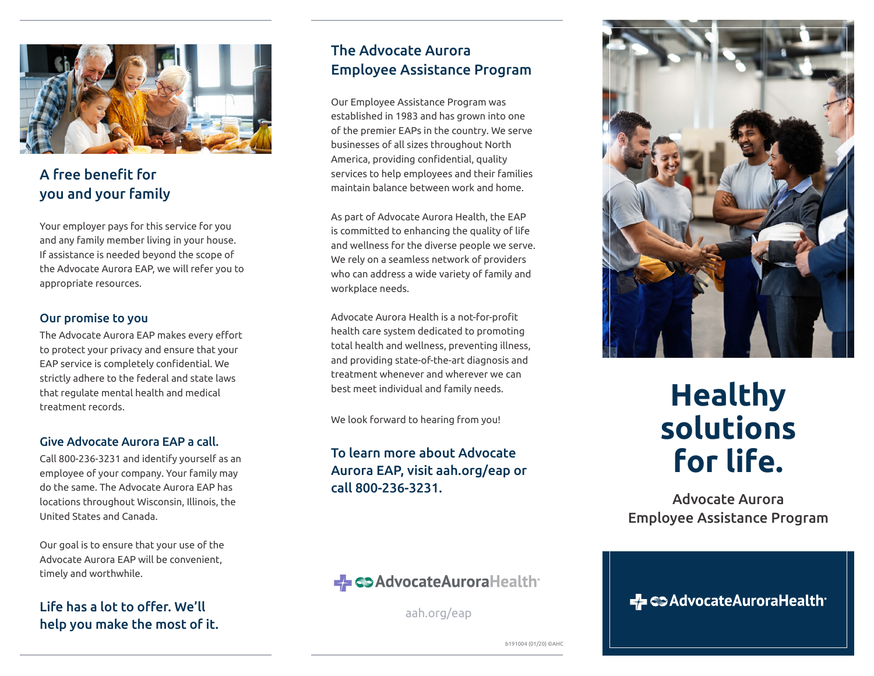

## A free benefit for you and your family

Your employer pays for this service for you and any family member living in your house. If assistance is needed beyond the scope of the Advocate Aurora EAP, we will refer you to appropriate resources.

### Our promise to you

The Advocate Aurora EAP makes every effort to protect your privacy and ensure that your EAP service is completely confidential. We strictly adhere to the federal and state laws that regulate mental health and medical treatment records.

### Give Advocate Aurora EAP a call.

Call 800-236-3231 and identify yourself as an employee of your company. Your family may do the same. The Advocate Aurora EAP has locations throughout Wisconsin, Illinois, the United States and Canada.

Our goal is to ensure that your use of the Advocate Aurora EAP will be convenient, timely and worthwhile.

Life has a lot to offer. We'll help you make the most of it.

## The Advocate Aurora Employee Assistance Program

Our Employee Assistance Program was established in 1983 and has grown into one of the premier EAPs in the country. We serve businesses of all sizes throughout North America, providing confidential, quality services to help employees and their families maintain balance between work and home.

As part of Advocate Aurora Health, the EAP is committed to enhancing the quality of life and wellness for the diverse people we serve. We rely on a seamless network of providers who can address a wide variety of family and workplace needs.

Advocate Aurora Health is a not-for-profit health care system dedicated to promoting total health and wellness, preventing illness, and providing state-of-the-art diagnosis and treatment whenever and wherever we can best meet individual and family needs.

We look forward to hearing from you!

## To learn more about Advocate Aurora EAP, visit aah.org/eap or call 800-236-3231.



# **Healthy solutions for life.**

Advocate Aurora Employee Assistance Program

← CD AdvocateAuroraHealth

→ <>AdvocateAuroraHealth

aah.org/eap

b191004 (01/20) ©AHC